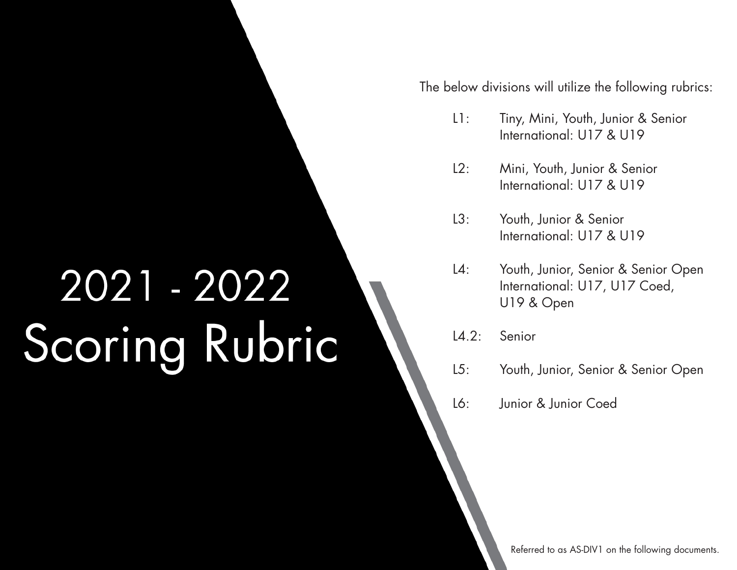# 2021 - 2022 Scoring Rubric

The below divisions will utilize the following rubrics:

- L1: Tiny, Mini, Youth, Junior & Senior International: U17 & U19
- L2: Mini, Youth, Junior & Senior International: U17 & U19
- L3: Youth, Junior & Senior International: U17 & U19
- L4: Youth, Junior, Senior & Senior Open International: U17, U17 Coed, U19 & Open
- L4.2: Senior
- L5: Youth, Junior, Senior & Senior Open
- L6: Junior & Junior Coed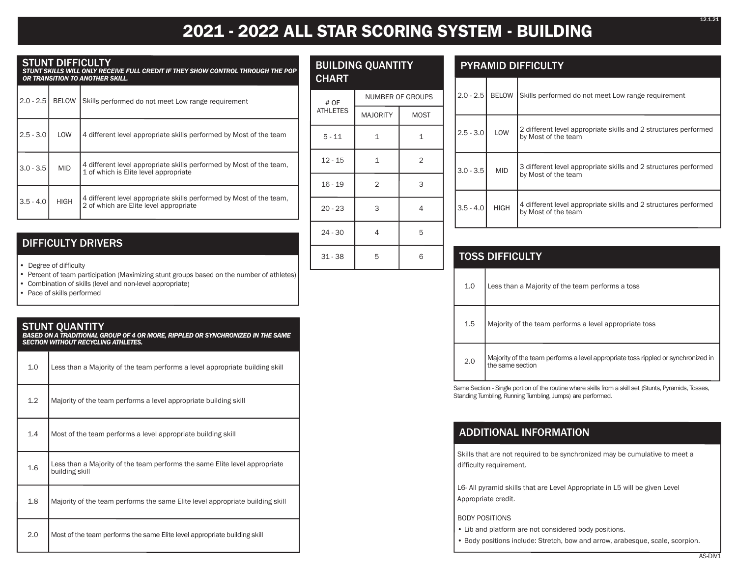## **2021 - 2022 ALL STAR SCORING SYSTEM - BUILDING**

#### STUNT DIFFICULTY

*STUNT SKILLS WILL ONLY RECEIVE FULL CREDIT IF THEY SHOW CONTROL THROUGH THE POP OR TRANSITION TO ANOTHER SKILL.*

| $2.0 - 2.5$ | <b>BELOW</b> | Skills performed do not meet Low range requirement                                                            |  |
|-------------|--------------|---------------------------------------------------------------------------------------------------------------|--|
| $2.5 - 3.0$ | LOW          | 4 different level appropriate skills performed by Most of the team                                            |  |
| $3.0 - 3.5$ | <b>MID</b>   | 4 different level appropriate skills performed by Most of the team.<br>1 of which is Elite level appropriate  |  |
| $3.5 - 4.0$ | <b>HIGH</b>  | 4 different level appropriate skills performed by Most of the team.<br>2 of which are Elite level appropriate |  |

| CHART |                        |
|-------|------------------------|
| # OF  | <b>NUMBER OF GROUP</b> |
|       |                        |

BUILDING QUANTITY

| # OF            | <b>NUMBER OF GROUPS</b> |                |  |  |
|-----------------|-------------------------|----------------|--|--|
| <b>ATHLETES</b> | <b>MAJORITY</b>         | <b>MOST</b>    |  |  |
| $5 - 11$        | $\mathbf 1$             | 1              |  |  |
| $12 - 15$       | $\mathbf 1$             | $\overline{2}$ |  |  |
| $16 - 19$       | $\overline{2}$          | 3              |  |  |
| $20 - 23$       | 3                       | 4              |  |  |
| $24 - 30$       | 4                       | 5              |  |  |
| $31 - 38$       | 5                       | 6              |  |  |

#### PYRAMID DIFFICULTY

| $2.0 - 2.5$ | <b>BELOW</b> | Skills performed do not meet Low range requirement                                     |
|-------------|--------------|----------------------------------------------------------------------------------------|
| $2.5 - 3.0$ | LOW          | 2 different level appropriate skills and 2 structures performed<br>by Most of the team |
| $3.0 - 3.5$ | <b>MID</b>   | 3 different level appropriate skills and 2 structures performed<br>by Most of the team |
| $3.5 - 4.0$ | <b>HIGH</b>  | 4 different level appropriate skills and 2 structures performed<br>by Most of the team |

| <b>TOSS DIFFICULTY</b> |                                                                                                       |  |  |
|------------------------|-------------------------------------------------------------------------------------------------------|--|--|
| 1.0                    | Less than a Majority of the team performs a toss                                                      |  |  |
| 1.5                    | Majority of the team performs a level appropriate toss                                                |  |  |
| 2.0                    | Majority of the team performs a level appropriate toss rippled or synchronized in<br>the same section |  |  |

Same Section - Single portion of the routine where skills from a skill set (Stunts, Pyramids, Tosses, Standing Tumbling, Running Tumbling, Jumps) are performed.

#### ADDITIONAL INFORMATION

Skills that are not required to be synchronized may be cumulative to meet a difficulty requirement.

L6- All pyramid skills that are Level Appropriate in L5 will be given Level Appropriate credit.

#### BODY POSITIONS

• Lib and platform are not considered body positions.

• Body positions include: Stretch, bow and arrow, arabesque, scale, scorpion.

#### DIFFICULTY DRIVERS

•Degree of difficulty

•Percent of team participation (Maximizing stunt groups based on the number of athletes)

• Combination of skills (level and non-level appropriate)

•Pace of skills performed

## STUNT QUANTITY *BASED ON A TRADITIONAL GROUP OF 4 OR MORE, RIPPLED OR SYNCHRONIZED IN THE SAME SECTION WITHOUT RECYCLING ATHLETES.* 1.0 Less than a Majority of the team performs a level appropriate building skill 1.2 | Majority of the team performs a level appropriate building skill 1.4 Most of the team performs a level appropriate building skill 1.6 Less than a Majority of the team performs the same Elite level appropriate building skill 1.8 Majority of the team performs the same Elite level appropriate building skill 2.0 Most of the team performs the same Elite level appropriate building skill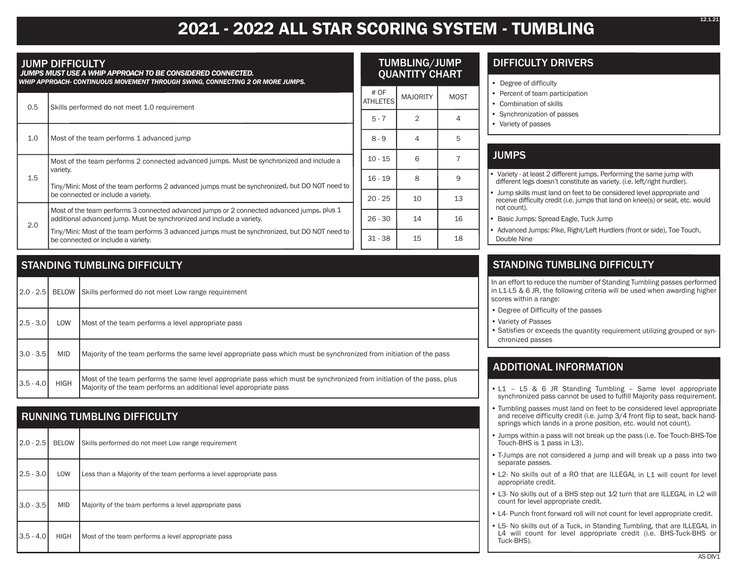## **2021 - 2022 ALL STAR SCORING SYSTEM - TUMBLING**

#### JUMP DIFFICULTY

 *JUMPS MUST USE A WHIP APPROACH TO BE CONSIDERED CONNECTED. WHIP APPROACH- CONTINUOUS MOVEMENT THROUGH SWING, CONNECTING 2 OR MORE JUMPS.*

| 0.5 |                                    | Skills performed do not meet 1.0 requirement                                                                                                                        |           | # OF<br><b>ATHLETES</b> | <b>MAJORITY</b> | <b>MOST</b> |
|-----|------------------------------------|---------------------------------------------------------------------------------------------------------------------------------------------------------------------|-----------|-------------------------|-----------------|-------------|
|     |                                    |                                                                                                                                                                     |           | $5 - 7$                 | 2               | 4           |
|     | 1.0                                | Most of the team performs 1 advanced jump                                                                                                                           |           | $8 - 9$                 | 4               | 5           |
|     | 1.5                                | Most of the team performs 2 connected advanced jumps. Must be synchronized and include a<br>variety.                                                                |           | $10 - 15$               | 6               |             |
|     |                                    | Tiny/Mini: Most of the team performs 2 advanced jumps must be synchronized, but DO NOT need to                                                                      |           | $16 - 19$               | 8               | 9           |
|     | be connected or include a variety. |                                                                                                                                                                     | $20 - 25$ | 10                      | 13              |             |
|     | 2.0                                | Most of the team performs 3 connected advanced jumps or 2 connected advanced jumps, plus 1<br>additional advanced jump. Must be synchronized and include a variety. |           | $26 - 30$               | 14              | 16          |
|     |                                    | Tiny/Mini: Most of the team performs 3 advanced jumps must be synchronized, but DO NOT need to<br>be connected or include a variety.                                |           | $31 - 38$               | 15              | 18          |

#### STANDING TUMBLING DIFFICULTY

| $2.0 - 2.5$ |             | BELOW Skills performed do not meet Low range requirement                                                                                                                                     |
|-------------|-------------|----------------------------------------------------------------------------------------------------------------------------------------------------------------------------------------------|
| $2.5 - 3.0$ | LOW         | Most of the team performs a level appropriate pass                                                                                                                                           |
| $3.0 - 3.5$ | <b>MID</b>  | Majority of the team performs the same level appropriate pass which must be synchronized from initiation of the pass                                                                         |
| $3.5 - 4.0$ | <b>HIGH</b> | Most of the team performs the same level appropriate pass which must be synchronized from initiation of the pass, plus<br>Majority of the team performs an additional level appropriate pass |

#### RUNNING TUMBLING DIFFICULTY

| $2.0 - 2.5$ |             | BELOW Skills performed do not meet Low range requirement           |
|-------------|-------------|--------------------------------------------------------------------|
| $2.5 - 3.0$ | LOW         | Less than a Majority of the team performs a level appropriate pass |
| $3.0 - 3.5$ | MID         | Majority of the team performs a level appropriate pass             |
| $3.5 - 4.0$ | <b>HIGH</b> | Most of the team performs a level appropriate pass                 |

#### DIFFICULTY DRIVERS TUMBLING/JUMP QUANTITY CHART

- •Degree of difficulty
- Percent of team participation
- Combination of skills
- •Synchronization of passes
- Variety of passes

#### **JUMPS**

- Variety at least 2 different jumps. Performing the same jump with different legs doesn't constitute as variety. (i.e. left/right hurdler).
- Jump skills must land on feet to be considered level appropriate and receive difficulty credit (i.e. jumps that land on knee(s) or seat, etc. would not count).
- Basic Jumps: Spread Eagle, Tuck Jump
- Advanced Jumps: Pike, Right/Left Hurdlers (front or side), Toe Touch, Double Nine

#### STANDING TUMBLING DIFFICULTY

In an effort to reduce the number of Standing Tumbling passes performed in L1-L5 & 6 JR, the following criteria will be used when awarding higher scores within a range:

- Degree of Difficulty of the passes
- Variety of Passes
- Satisfies or exceeds the quantity requirement utilizing grouped or synchronized passes

#### ADDITIONAL INFORMATION

- L1 L5 & 6 JR Standing Tumbling Same level appropriate synchronized pass cannot be used to fulfill Majority pass requirement.
- Tumbling passes must land on feet to be considered level appropriate and receive difficulty credit (i.e. jump 3/4 front flip to seat, back handsprings which lands in a prone position, etc. would not count).
- Jumps within a pass will not break up the pass (i.e. Toe Touch-BHS-Toe Touch-BHS is 1 pass in L3).
- T-Jumps are not considered a jump and will break up a pass into two separate passes.
- L2- No skills out of a RO that are ILLEGAL in L1 will count for level appropriate credit.
- L3- No skills out of a BHS step out 1⁄2 turn that are ILLEGAL in L2 will count for level appropriate credit.
- L4- Punch front forward roll will not count for level appropriate credit.
- L5- No skills out of a Tuck, in Standing Tumbling, that are ILLEGAL in L4 will count for level appropriate credit (i.e. BHS-Tuck-BHS or Tuck-BHS).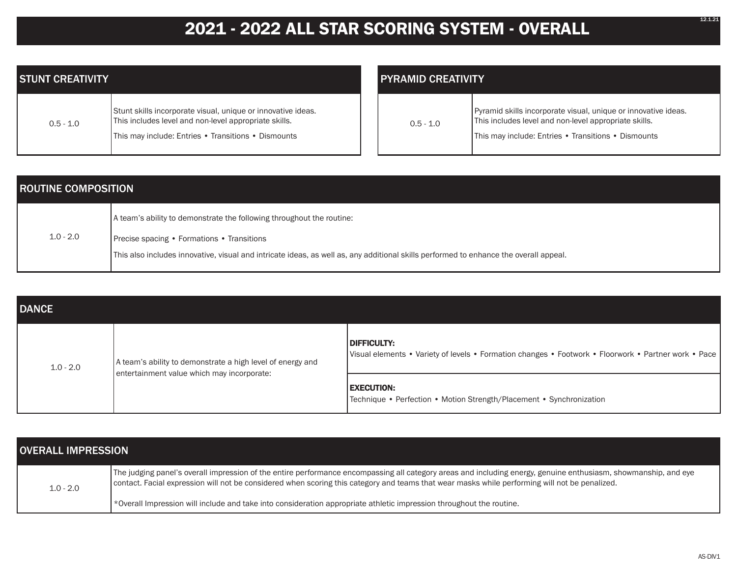## **2021 - 2022 ALL STAR SCORING SYSTEM - OVERALL**

| <b>STUNT CREATIVITY</b> |                                                                                                                                                                              |  |  |  |
|-------------------------|------------------------------------------------------------------------------------------------------------------------------------------------------------------------------|--|--|--|
| $0.5 - 1.0$             | Stunt skills incorporate visual, unique or innovative ideas.<br>This includes level and non-level appropriate skills.<br>This may include: Entries • Transitions • Dismounts |  |  |  |

| <b>PYRAMID CREATIVITY</b> |                                                                                                                                                                                |  |  |  |
|---------------------------|--------------------------------------------------------------------------------------------------------------------------------------------------------------------------------|--|--|--|
| $0.5 - 1.0$               | Pyramid skills incorporate visual, unique or innovative ideas.<br>This includes level and non-level appropriate skills.<br>This may include: Entries . Transitions . Dismounts |  |  |  |

| <b>ROUTINE COMPOSITION</b> |                                                                                                                                       |  |  |
|----------------------------|---------------------------------------------------------------------------------------------------------------------------------------|--|--|
|                            | A team's ability to demonstrate the following throughout the routine:                                                                 |  |  |
| $1.0 - 2.0$                | <b>Precise spacing • Formations • Transitions</b>                                                                                     |  |  |
|                            | This also includes innovative, visual and intricate ideas, as well as, any additional skills performed to enhance the overall appeal. |  |  |

| <b>DANCE</b> |                                                                                                          |                                                                                                                     |  |  |
|--------------|----------------------------------------------------------------------------------------------------------|---------------------------------------------------------------------------------------------------------------------|--|--|
| $1.0 - 2.0$  | A team's ability to demonstrate a high level of energy and<br>entertainment value which may incorporate: | DIFFICULTY:<br>Visual elements • Variety of levels • Formation changes • Footwork • Floorwork • Partner work • Pace |  |  |
|              |                                                                                                          | <b>EXECUTION:</b><br> Technique • Perfection • Motion Strength/Placement • Synchronization                          |  |  |

| <b>OVERALL IMPRESSION</b> |                                                                                                                                                                                                                                                                                                                   |  |  |
|---------------------------|-------------------------------------------------------------------------------------------------------------------------------------------------------------------------------------------------------------------------------------------------------------------------------------------------------------------|--|--|
| $1.0 - 2.0$               | The judging panel's overall impression of the entire performance encompassing all category areas and including energy, genuine enthusiasm, showmanship, and eye<br>contact. Facial expression will not be considered when scoring this category and teams that wear masks while performing will not be penalized. |  |  |
|                           | *Overall Impression will include and take into consideration appropriate athletic impression throughout the routine.                                                                                                                                                                                              |  |  |

12.1.21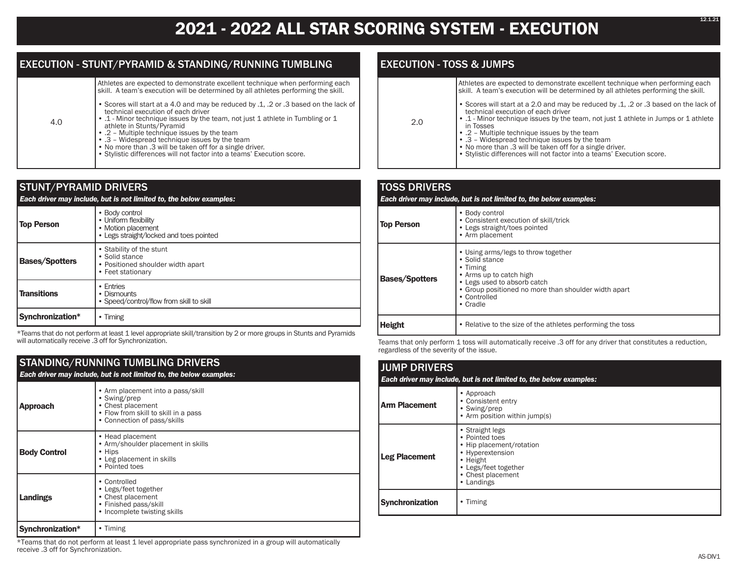### **2021 - 2022 ALL STAR SCORING SYSTEM - EXECUTION**

#### EXECUTION - STUNT/PYRAMID & STANDING/RUNNING TUMBLING

Athletes are expected to demonstrate excellent technique when performing each skill. A team's execution will be determined by all athletes performing the skill.

- Scores will start at a 4.0 and may be reduced by .1, .2 or .3 based on the lack of technical execution of each driver
- .1 Minor technique issues by the team, not just 1 athlete in Tumbling or 1 athlete in Stunts/Pyramid
	- .2 Multiple technique issues by the team
- .3 Widespread technique issues by the team
- No more than .3 will be taken off for a single driver.
- Stylistic differences will not factor into a teams' Execution score.

#### STUNT/PYRAMID DRIVERS *Each driver may include, but is not limited to, the below examples:* **Top Person** • Body control • Uniform flexibility • Motion placement • Legs straight/locked and toes pointed **Bases/Spotters** • Stability of the stunt • Solid stance • Positioned shoulder width apart • Feet stationary **Transitions** • Entries • Dismounts • Speed/control/flow from skill to skill **Synchronization\*** • Timing

\*Teams that do not perform at least 1 level appropriate skill/transition by 2 or more groups in Stunts and Pyramids will automatically receive .3 off for Synchronization.

#### STANDING/RUNNING TUMBLING DRIVERS

4.0

|                                                                                                                                                                  | Each driver may include, but is not limited to, the below examples:                                             |  |  |
|------------------------------------------------------------------------------------------------------------------------------------------------------------------|-----------------------------------------------------------------------------------------------------------------|--|--|
| • Arm placement into a pass/skill<br>• Swing/prep<br>• Chest placement<br><b>Approach</b><br>• Flow from skill to skill in a pass<br>• Connection of pass/skills |                                                                                                                 |  |  |
| <b>Body Control</b>                                                                                                                                              | • Head placement<br>• Arm/shoulder placement in skills<br>• Hips<br>• Leg placement in skills<br>• Pointed toes |  |  |
| • Controlled<br>• Legs/feet together<br>• Chest placement<br>Landings<br>• Finished pass/skill<br>• Incomplete twisting skills                                   |                                                                                                                 |  |  |
| • Timing<br>Synchronization*                                                                                                                                     |                                                                                                                 |  |  |

\*Teams that do not perform at least 1 level appropriate pass synchronized in a group will automatically receive .3 off for Synchronization.

#### EXECUTION - TOSS & JUMPS

| Athletes are expected to demonstrate excellent technique when performing each<br>skill. A team's execution will be determined by all athletes performing the skill. |
|---------------------------------------------------------------------------------------------------------------------------------------------------------------------|
| Scores will start at a 2.0 and may be reduced by .1. .2 or .3 based on the lack of                                                                                  |

• .1 - Minor technique issues by the team, not just 1 athlete in Jumps or 1 athlete

- 2.0
- .2 Multiple technique issues by the team • .3 – Widespread technique issues by the team

technical execution of each driver

in Tosses

- No more than .3 will be taken off for a single driver.
- Stylistic differences will not factor into a teams' Execution score.

#### TOSS DRIVERS *Each driver may include, but is not limited to, the below examples:* **Top Person** • Body control • Consistent execution of skill/trick • Legs straight/toes pointed • Arm placement **Bases/Spotters** • Using arms/legs to throw together • Solid stance • Timing • Arms up to catch high • Legs used to absorb catch • Group positioned no more than shoulder width apart • Controlled • Cradle **Height** • Relative to the size of the athletes performing the toss

Teams that only perform 1 toss will automatically receive .3 off for any driver that constitutes a reduction, regardless of the severity of the issue.

#### JUMP DRIVERS *Each driver may include, but is not limited to, the below examples:* **Arm Placement** • Approach • Consistent entry • Swing/prep • Arm position within jump(s) **Leg Placement** • Straight legs • Pointed toes • Hip placement/rotation • Hyperextension • Height • Legs/feet together • Chest placement • Landings **Synchronization** • Timing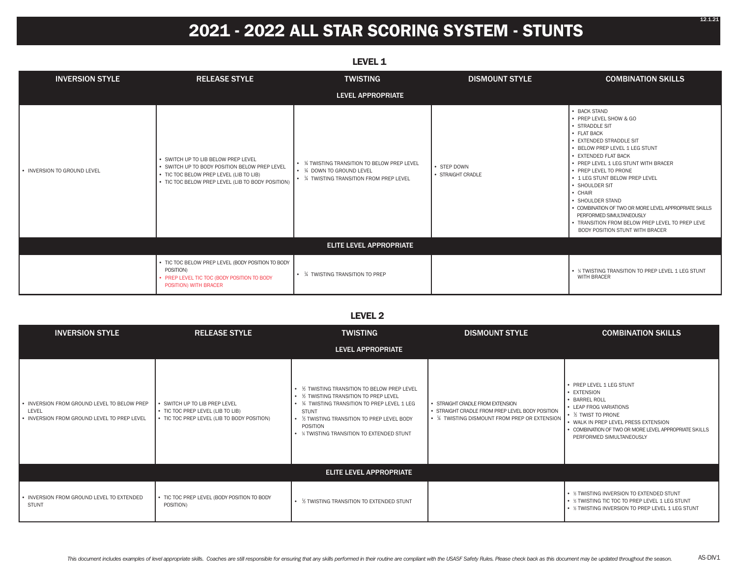## **2021 - 2022 ALL STAR SCORING SYSTEM - STUNTS**

| ----                           |                                                                                                                                                                                      |                                                                                                                        |                                  |                                                                                                                                                                                                                                                                                                                                                                                                                                                                                                   |
|--------------------------------|--------------------------------------------------------------------------------------------------------------------------------------------------------------------------------------|------------------------------------------------------------------------------------------------------------------------|----------------------------------|---------------------------------------------------------------------------------------------------------------------------------------------------------------------------------------------------------------------------------------------------------------------------------------------------------------------------------------------------------------------------------------------------------------------------------------------------------------------------------------------------|
| <b>INVERSION STYLE</b>         | <b>RELEASE STYLE</b>                                                                                                                                                                 | <b>TWISTING</b>                                                                                                        | <b>DISMOUNT STYLE</b>            | <b>COMBINATION SKILLS</b>                                                                                                                                                                                                                                                                                                                                                                                                                                                                         |
|                                |                                                                                                                                                                                      | LEVEL APPROPRIATE                                                                                                      |                                  |                                                                                                                                                                                                                                                                                                                                                                                                                                                                                                   |
| • INVERSION TO GROUND LEVEL    | • SWITCH UP TO LIB BELOW PREP LEVEL<br>• SWITCH UP TO BODY POSITION BELOW PREP LEVEL<br>• TIC TOC BELOW PREP LEVEL (LIB TO LIB)<br>• TIC TOC BELOW PREP LEVEL (LIB TO BODY POSITION) | • % TWISTING TRANSITION TO BELOW PREP LEVEL<br>• 1/4 DOWN TO GROUND LEVEL<br>• 1/4 TWISTING TRANSITION FROM PREP LEVEL | • STEP DOWN<br>• STRAIGHT CRADLE | • BACK STAND<br>• PREP LEVEL SHOW & GO<br>• STRADDLE SIT<br>• FLAT BACK<br>• EXTENDED STRADDLE SIT<br>• BELOW PREP LEVEL 1 LEG STUNT<br>• EXTENDED FLAT BACK<br>• PREP LEVEL 1 LEG STUNT WITH BRACER<br>• PREP LEVEL TO PRONE<br>• 1 LEG STUNT BELOW PREP LEVEL<br>• SHOULDER SIT<br>$\cdot$ CHAIR<br>• SHOULDER STAND<br>• COMBINATION OF TWO OR MORE LEVEL APPROPRIATE SKILLS<br>PERFORMED SIMULTANEOUSLY<br>• TRANSITION FROM BELOW PREP LEVEL TO PREP LEVE<br>BODY POSITION STUNT WITH BRACER |
| <b>ELITE LEVEL APPROPRIATE</b> |                                                                                                                                                                                      |                                                                                                                        |                                  |                                                                                                                                                                                                                                                                                                                                                                                                                                                                                                   |
|                                | • TIC TOC BELOW PREP LEVEL (BODY POSITION TO BODY<br>POSITION)<br>• PREP LEVEL TIC TOC (BODY POSITION TO BODY<br>POSITION) WITH BRACER                                               | • % TWISTING TRANSITION TO PREP                                                                                        |                                  | • % TWISTING TRANSITION TO PREP LEVEL 1 LEG STUNT<br><b>WITH BRACER</b>                                                                                                                                                                                                                                                                                                                                                                                                                           |

#### **LEVEL 2**

| <b>INVERSION STYLE</b>                                                                              | <b>TWISTING</b><br><b>RELEASE STYLE</b>                                                                           |                                                                                                                                                                                                                                                                     | <b>DISMOUNT STYLE</b>                                                                                                                 | <b>COMBINATION SKILLS</b>                                                                                                                                                                                                               |
|-----------------------------------------------------------------------------------------------------|-------------------------------------------------------------------------------------------------------------------|---------------------------------------------------------------------------------------------------------------------------------------------------------------------------------------------------------------------------------------------------------------------|---------------------------------------------------------------------------------------------------------------------------------------|-----------------------------------------------------------------------------------------------------------------------------------------------------------------------------------------------------------------------------------------|
|                                                                                                     |                                                                                                                   | <b>LEVEL APPROPRIATE</b>                                                                                                                                                                                                                                            |                                                                                                                                       |                                                                                                                                                                                                                                         |
| • INVERSION FROM GROUND LEVEL TO BELOW PREP<br>LEVEL<br>• INVERSION FROM GROUND LEVEL TO PREP LEVEL | • SWITCH UP TO LIB PREP LEVEL<br>• TIC TOC PREP LEVEL (LIB TO LIB)<br>• TIC TOC PREP LEVEL (LIB TO BODY POSITION) | • % TWISTING TRANSITION TO BELOW PREP LEVEL<br>• % TWISTING TRANSITION TO PREP LEVEL<br>• 1/4 TWISTING TRANSITION TO PREP LEVEL 1 LEG<br><b>STUNT</b><br>• % TWISTING TRANSITION TO PREP LEVEL BODY<br><b>POSITION</b><br>• % TWISTING TRANSITION TO EXTENDED STUNT | · STRAIGHT CRADLE FROM EXTENSION<br>· STRAIGHT CRADLE FROM PREP LEVEL BODY POSITION<br>• 1/4 TWISTING DISMOUNT FROM PREP OR EXTENSION | • PREP LEVEL 1 LEG STUNT<br>• EXTENSION<br>• BARREL ROLL<br>• LEAP FROG VARIATIONS<br>• 1/2 TWIST TO PRONE<br>• WALK IN PREP LEVEL PRESS EXTENSION<br>• COMBINATION OF TWO OR MORE LEVEL APPROPRIATE SKILLS<br>PERFORMED SIMULTANEOUSLY |
|                                                                                                     |                                                                                                                   | <b>ELITE LEVEL APPROPRIATE</b>                                                                                                                                                                                                                                      |                                                                                                                                       |                                                                                                                                                                                                                                         |
| • INVERSION FROM GROUND LEVEL TO EXTENDED<br><b>STUNT</b>                                           | • TIC TOC PREP LEVEL (BODY POSITION TO BODY<br>POSITION)                                                          | • % TWISTING TRANSITION TO EXTENDED STUNT                                                                                                                                                                                                                           |                                                                                                                                       | • % TWISTING INVERSION TO EXTENDED STUNT<br>• % TWISTING TIC TOC TO PREP LEVEL 1 LEG STUNT<br>• 1/2 TWISTING INVERSION TO PREP LEVEL 1 LEG STUNT                                                                                        |

#### **LEVEL 1**

12.1.21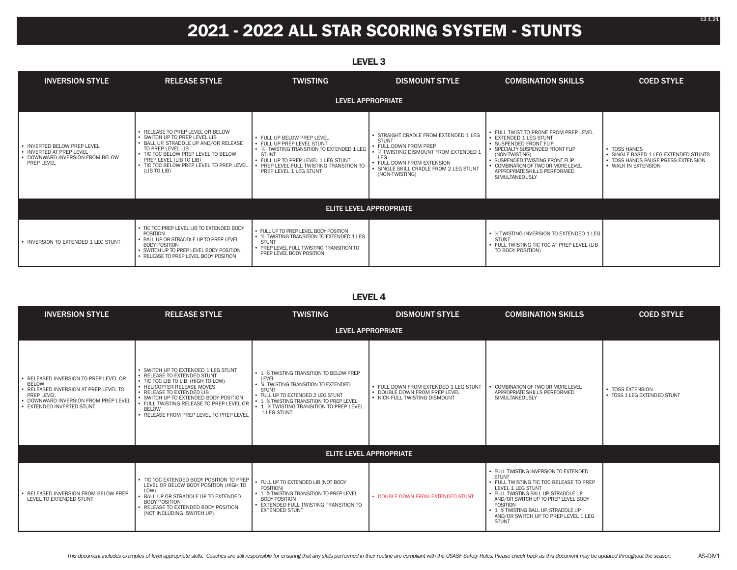## **2021 - 2022 ALL STAR SCORING SYSTEM - STUNTS**

| <b>INVERSION STYLE</b>                                                                                          | <b>RELEASE STYLE</b>                                                                                                                                                                                                                                          | <b>TWISTING</b>                                                                                                                                                                                                                    | <b>DISMOUNT STYLE</b>                                                                                                                                                                                                                           | <b>COMBINATION SKILLS</b>                                                                                                                                                                                                                                                | <b>COED STYLE</b>                                                                                                 |
|-----------------------------------------------------------------------------------------------------------------|---------------------------------------------------------------------------------------------------------------------------------------------------------------------------------------------------------------------------------------------------------------|------------------------------------------------------------------------------------------------------------------------------------------------------------------------------------------------------------------------------------|-------------------------------------------------------------------------------------------------------------------------------------------------------------------------------------------------------------------------------------------------|--------------------------------------------------------------------------------------------------------------------------------------------------------------------------------------------------------------------------------------------------------------------------|-------------------------------------------------------------------------------------------------------------------|
|                                                                                                                 |                                                                                                                                                                                                                                                               |                                                                                                                                                                                                                                    | LEVEL APPROPRIATE                                                                                                                                                                                                                               |                                                                                                                                                                                                                                                                          |                                                                                                                   |
| • INVERTED BELOW PREP LEVEL<br>• INVERTED AT PREP LEVEL<br>• DOWNWARD INVERSION FROM BELOW<br><b>PREP LEVEL</b> | • RELEASE TO PREP LEVEL OR BELOW<br>• SWITCH UP TO PREP LEVEL LIB<br>· BALL UP, STRADDLE UP AND/OR RELEASE<br>TO PREP LEVEL LIB<br>• TIC TOC BELOW PREP LEVEL TO BELOW<br>PREP LEVEL (LIB TO LIB)<br>• TIC TOC BELOW PREP LEVEL TO PREP LEVEL<br>(LIB TO LIB) | • FULL UP BELOW PREP LEVEL<br>• FULL UP PREP LEVEL STUNT<br>• 1/4 TWISTING TRANSITION TO EXTENDED 1 LEG<br><b>STUNT</b><br>• FULL UP TO PREP LEVEL 1 LEG STUNT<br>PREP LEVEL FULL TWISTING TRANSITION TO<br>PREP LEVEL 1 LEG STUNT | · STRAIGHT CRADLE FROM EXTENDED 1 LEG<br><b>STUNT</b><br>• FULL DOWN FROM PREP<br>$\cdot$ $\,$ $\rm\,$ $\rm\,$ TWISTING DISMOUNT FROM EXTENDED 1<br>LEG<br>· FULL DOWN FROM EXTENSION<br>SINGLE SKILL CRADLE FROM 2 LEG STUNT<br>(NON-TWISTING) | • FULL TWIST TO PRONE FROM PREP LEVEL<br>• EXTENDED 1 LEG STUNT<br>· SUSPENDED FRONT FLIP<br>· SPECIALTY SUSPENDED FRONT FLIP<br>(NON-TWISTING)<br>• SUSPENDED TWISTING FRONT FLIP<br>COMBINATION OF TWO OR MORE LEVEL<br>APPROPRIATE SKILLS PERFORMED<br>SIMULTANEOUSLY | • TOSS HANDS<br>· SINGLE BASED 1 LEG EXTENDED STUNTS<br>• TOSS HANDS PAUSE PRESS EXTENSION<br>• WALK IN EXTENSION |
| <b>ELITE LEVEL APPROPRIATE</b>                                                                                  |                                                                                                                                                                                                                                                               |                                                                                                                                                                                                                                    |                                                                                                                                                                                                                                                 |                                                                                                                                                                                                                                                                          |                                                                                                                   |
| • INVERSION TO EXTENDED 1 LEG STUNT                                                                             | • TIC TOC PREP LEVEL LIB TO EXTENDED BODY<br><b>POSITION</b><br>• BALL UP OR STRADDLE UP TO PREP LEVEL<br><b>BODY POSITION</b><br>• SWITCH UP TO PREP LEVEL BODY POSITION<br>• RELEASE TO PREP LEVEL BODY POSITION                                            | • FULL UP TO PREP LEVEL BODY POSITION<br>• 1/2 TWISTING TRANSITION TO EXTENDED 1 LEG<br><b>STUNT</b><br>• PREP LEVEL FULL TWISTING TRANSITION TO<br>PREP LEVEL BODY POSITION                                                       |                                                                                                                                                                                                                                                 | • 1/2 TWISTING INVERSION TO EXTENDED 1 LEG<br>STUNT<br>• FULL TWISTING TIC TOC AT PREP LEVEL (LIB<br>TO BODY POSITION)                                                                                                                                                   |                                                                                                                   |

#### **LEVEL 4**

| <b>INVERSION STYLE</b>                                                                                                                                                          | <b>RELEASE STYLE</b>                                                                                                                                                                                                                                                                                         | <b>TWISTING</b>                                                                                                                                                                                                                                    | <b>DISMOUNT STYLE</b>                                                                                   | <b>COMBINATION SKILLS</b>                                                                                                                                                                                                                                                                                       | <b>COED STYLE</b>                               |
|---------------------------------------------------------------------------------------------------------------------------------------------------------------------------------|--------------------------------------------------------------------------------------------------------------------------------------------------------------------------------------------------------------------------------------------------------------------------------------------------------------|----------------------------------------------------------------------------------------------------------------------------------------------------------------------------------------------------------------------------------------------------|---------------------------------------------------------------------------------------------------------|-----------------------------------------------------------------------------------------------------------------------------------------------------------------------------------------------------------------------------------------------------------------------------------------------------------------|-------------------------------------------------|
|                                                                                                                                                                                 |                                                                                                                                                                                                                                                                                                              |                                                                                                                                                                                                                                                    | <b>LEVEL APPROPRIATE</b>                                                                                |                                                                                                                                                                                                                                                                                                                 |                                                 |
| • RELEASED INVERSION TO PREP LEVEL OR<br><b>BELOW</b><br>· RELEASED INVERSION AT PREP LEVEL TO<br>PREP LEVEL<br>• DOWNWARD INVERSION FROM PREP LEVEL<br>EXTENDED INVERTED STUNT | • SWITCH UP TO EXTENDED 1 LEG STUNT<br>• RELEASE TO EXTENDED STUNT<br>• TIC TOC LIB TO LIB (HIGH TO LOW)<br>• HELICOPTER RELEASE MOVES<br>• RELEASE TO EXTENDED LIB<br>• SWITCH UP TO EXTENDED BODY POSITION<br>• FULL TWISTING RELEASE TO PREP LEVEL OR<br>BELOW<br>• RELEASE FROM PREP LEVEL TO PREP LEVEL | • 1 % TWISTING TRANSITION TO BELOW PREP<br>LEVEL<br>• 34 TWISTING TRANSITION TO EXTENDED<br><b>STUNT</b><br>• FULL UP TO EXTENDED 2 LEG STUNT<br>• 1 % TWISTING TRANSITION TO PREP LEVEL<br>• 1 % TWISTING TRANSITION TO PREP LEVEL<br>1 LEG STUNT | • FULL DOWN FROM EXTENDED 1 LEG STUNT<br>. DOUBLE DOWN FROM PREP LEVEL<br>• KICK FULL TWISTING DISMOUNT | COMBINATION OF TWO OR MORE LEVEL<br>APPROPRIATE SKILLS PERFORMED<br>SIMULTANEOUSLY                                                                                                                                                                                                                              | • TOSS EXTENSION<br>• TOSS 1 LEG EXTENDED STUNT |
|                                                                                                                                                                                 | <b>ELITE LEVEL APPROPRIATE</b>                                                                                                                                                                                                                                                                               |                                                                                                                                                                                                                                                    |                                                                                                         |                                                                                                                                                                                                                                                                                                                 |                                                 |
| • RELEASED INVERSION FROM BELOW PREP<br>LEVEL TO EXTENDED STUNT                                                                                                                 | • TIC TOC EXTENDED BODY POSITION TO PREP<br>LEVEL OR BELOW BODY POSITION (HIGH TO<br>LOW)<br>• BALL UP OR STRADDLE UP TO EXTENDED<br><b>BODY POSITION</b><br>• RELEASE TO EXTENDED BODY POSITION<br>(NOT INCLUDING SWITCH UP)                                                                                | • FULL UP TO EXTENDED LIB (NOT BODY<br>POSITION)<br>• 1 % TWISTING TRANSITION TO PREP LEVEL<br><b>BODY POSITION</b><br><b>EXTENDED FULL TWISTING TRANSITION TO</b><br><b>EXTENDED STUNT</b>                                                        | • DOUBLE DOWN FROM EXTENDED STUNT                                                                       | • FULL TWISTING INVERSION TO EXTENDED<br><b>STUNT</b><br>• FULL TWISTING TIC TOC RELEASE TO PREP<br>LEVEL 1 LEG STUNT<br>• FULL TWISTING BALL UP. STRADDLE UP<br>AND/OR SWITCH UP TO PREP LEVEL BODY<br>POSITION<br>• 1 % TWISTING BALL UP. STRADDLE UP<br>AND/OR SWITCH UP TO PREP LEVEL 1 LEG<br><b>STUNT</b> |                                                 |

#### **LEVEL 3**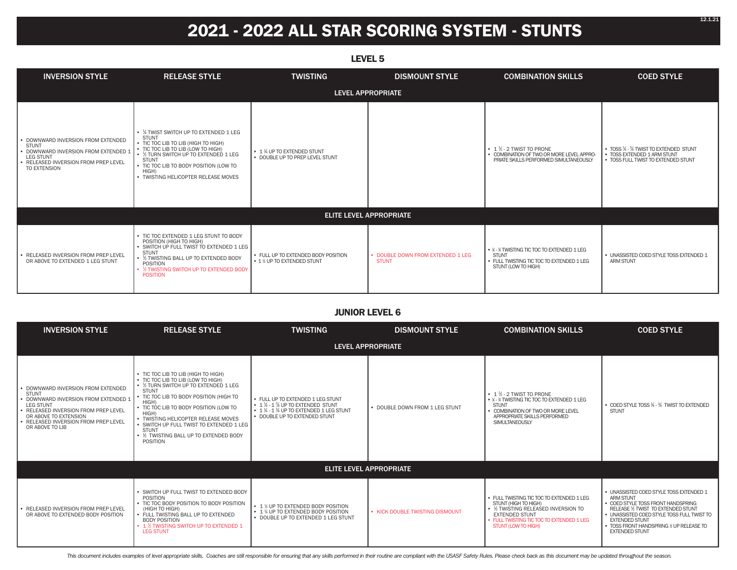## **2021 - 2022 ALL STAR SCORING SYSTEM - STUNTS**

| LEVEL <sub>5</sub>                                                                                                                                                     |                                                                                                                                                                                                                                                                                        |                                                                                 |                                                   |                                                                                                                                   |                                                                                                                |
|------------------------------------------------------------------------------------------------------------------------------------------------------------------------|----------------------------------------------------------------------------------------------------------------------------------------------------------------------------------------------------------------------------------------------------------------------------------------|---------------------------------------------------------------------------------|---------------------------------------------------|-----------------------------------------------------------------------------------------------------------------------------------|----------------------------------------------------------------------------------------------------------------|
| <b>INVERSION STYLE</b>                                                                                                                                                 | <b>RELEASE STYLE</b>                                                                                                                                                                                                                                                                   | <b>TWISTING</b>                                                                 | <b>DISMOUNT STYLE</b>                             | <b>COMBINATION SKILLS</b>                                                                                                         | <b>COED STYLE</b>                                                                                              |
|                                                                                                                                                                        |                                                                                                                                                                                                                                                                                        |                                                                                 | <b>LEVEL APPROPRIATE</b>                          |                                                                                                                                   |                                                                                                                |
| • DOWNWARD INVERSION FROM EXTENDED<br><b>STUNT</b><br>· DOWNWARD INVERSION FROM EXTENDED 2<br><b>LEG STUNT</b><br>· RELEASED INVERSION FROM PREP LEVEL<br>TO EXTENSION | • % TWIST SWITCH UP TO EXTENDED 1 LEG<br><b>STUNT</b><br>• TIC TOC LIB TO LIB (HIGH TO HIGH)<br>• TIC TOC LIB TO LIB (LOW TO HIGH)<br>• 1/2 TURN SWITCH UP TO EXTENDED 1 LEG<br><b>STUNT</b><br>• TIC TOC LIB TO BODY POSITION (LOW TO<br>HIGH)<br>• TWISTING HELICOPTER RELEASE MOVES | $\cdot$ 1 $\frac{1}{4}$ UP TO EXTENDED STUNT<br>• DOUBLE UP TO PREP LEVEL STUNT |                                                   | $\cdot$ 1 $\frac{1}{2}$ - 2 TWIST TO PRONE<br>• COMBINATION OF TWO OR MORE LEVEL APPRO-<br>PRIATE SKILLS PERFORMED SIMULTANEOUSLY | • TOSS 1/4 - 3/4 TWIST TO EXTENDED STUNT<br>• TOSS EXTENDED 1 ARM STUNT<br>• TOSS FULL TWIST TO EXTENDED STUNT |
|                                                                                                                                                                        |                                                                                                                                                                                                                                                                                        |                                                                                 | <b>ELITE LEVEL APPROPRIATE</b>                    |                                                                                                                                   |                                                                                                                |
| • RELEASED INVERSION FROM PREP LEVEL<br>OR ABOVE TO EXTENDED 1 LEG STUNT                                                                                               | • TIC TOC EXTENDED 1 LEG STUNT TO BODY<br>POSITION (HIGH TO HIGH)<br>• SWITCH UP FULL TWIST TO EXTENDED 1 LEG<br><b>STUNT</b><br>• % TWISTING BALL UP TO EXTENDED BODY<br>POSITION<br>• % TWISTING SWITCH UP TO EXTENDED BODY<br><b>POSITION</b>                                       | • FULL UP TO EXTENDED BODY POSITION<br>• 1 % UP TO EXTENDED STUNT               | • DOUBLE DOWN FROM EXTENDED 1 LEG<br><b>STUNT</b> | • ¼ - % TWISTING TIC TOC TO EXTENDED 1 LEG<br><b>STUNT</b><br>• FULL TWISTING TIC TOC TO EXTENDED 1 LEG<br>STUNT (LOW TO HIGH)    | • UNASSISTED COED STYLE TOSS EXTENDED 1<br><b>ARM STUNT</b>                                                    |

#### **JUNIOR LEVEL 6**

| <b>INVERSION STYLE</b>                                                                                                                                                                                                               | <b>RELEASE STYLE</b>                                                                                                                                                                                                                                                                                                                                                                                    | <b>TWISTING</b>                                                                                                                                                                                              | <b>DISMOUNT STYLE</b>           | <b>COMBINATION SKILLS</b>                                                                                                                                                                                   | <b>COED STYLE</b>                                                                                                                                                                                                                                                                   |
|--------------------------------------------------------------------------------------------------------------------------------------------------------------------------------------------------------------------------------------|---------------------------------------------------------------------------------------------------------------------------------------------------------------------------------------------------------------------------------------------------------------------------------------------------------------------------------------------------------------------------------------------------------|--------------------------------------------------------------------------------------------------------------------------------------------------------------------------------------------------------------|---------------------------------|-------------------------------------------------------------------------------------------------------------------------------------------------------------------------------------------------------------|-------------------------------------------------------------------------------------------------------------------------------------------------------------------------------------------------------------------------------------------------------------------------------------|
|                                                                                                                                                                                                                                      |                                                                                                                                                                                                                                                                                                                                                                                                         |                                                                                                                                                                                                              | <b>LEVEL APPROPRIATE</b>        |                                                                                                                                                                                                             |                                                                                                                                                                                                                                                                                     |
| DOWNWARD INVERSION FROM EXTENDED<br><b>STUNT</b><br>DOWNWARD INVERSION FROM EXTENDED 1<br><b>LEG STUNT</b><br>RELEASED INVERSION FROM PREP LEVEL<br>OR ABOVE TO EXTENSION<br>• RELEASED INVERSION FROM PREP LEVEL<br>OR ABOVE TO LIB | • TIC TOC LIB TO LIB (HIGH TO HIGH)<br>• TIC TOC LIB TO LIB (LOW TO HIGH)<br>• % TURN SWITCH UP TO EXTENDED 1 LEG<br><b>STUNT</b><br>• TIC TOC LIB TO BODY POSITION (HIGH TO<br>HIGH)<br>• TIC TOC LIB TO BODY POSITION (LOW TO<br>HIGH)<br>• TWISTING HELICOPTER RELEASE MOVES<br>• SWITCH UP FULL TWIST TO EXTENDED 1 LEG<br><b>STUNT</b><br>• % TWISTING BALL UP TO EXTENDED BODY<br><b>POSITION</b> | • FULL UP TO EXTENDED 1 LEG STUNT<br>$\cdot$ 1 $\frac{1}{4}$ - 1 $\frac{3}{4}$ UP TO EXTENDED STUNT<br>$\cdot$ 1 $\frac{1}{4}$ - 1 $\frac{3}{4}$ UP TO EXTENDED 1 LEG STUNT<br>• DOUBLE UP TO EXTENDED STUNT | • DOUBLE DOWN FROM 1 LEG STUNT  | $\cdot$ 1 $\frac{1}{2}$ - 2 TWIST TO PRONE<br>• ¼ - % TWISTING TIC TOC TO EXTENDED 1 LEG<br><b>STUNT</b><br>COMBINATION OF TWO OR MORE LEVEL<br>APPROPRIATE SKILLS PERFORMED<br><b>SIMULTANEOUSLY</b>       | • COED STYLE TOSS 1/4 - 3/4 TWIST TO EXTENDED<br><b>STUNT</b>                                                                                                                                                                                                                       |
|                                                                                                                                                                                                                                      |                                                                                                                                                                                                                                                                                                                                                                                                         |                                                                                                                                                                                                              | <b>ELITE LEVEL APPROPRIATE</b>  |                                                                                                                                                                                                             |                                                                                                                                                                                                                                                                                     |
| RELEASED INVERSION FROM PREP LEVEL<br>OR ABOVE TO EXTENDED BODY POSITION                                                                                                                                                             | • SWITCH UP FULL TWIST TO EXTENDED BODY<br>POSITION<br>• TIC TOC BODY POSITION TO BODY POSITION<br>(HIGH TO HIGH)<br>• FULL TWISTING BALL UP TO EXTENDED<br><b>BODY POSITION</b><br>• 1 % TWISTING SWITCH UP TO EXTENDED 1<br><b>LEG STUNT</b>                                                                                                                                                          | • 1 % UP TO EXTENDED BODY POSITION<br>• 1 % UP TO EXTENDED BODY POSITION<br>• DOUBLE UP TO EXTENDED 1 LEG STUNT                                                                                              | • KICK DOUBLE TWISTING DISMOUNT | • FULL TWISTING TIC TOC TO EXTENDED 1 LEG<br>STUNT (HIGH TO HIGH)<br>• % TWISTING RELEASED INVERSION TO<br><b>EXTENDED STUNT</b><br>• FULL TWISTING TIC TOC TO EXTENDED 1 LEG<br><b>STUNT (LOW TO HIGH)</b> | • UNASSISTED COED STYLE TOSS EXTENDED 1<br><b>ARM STUNT</b><br>• COED STYLE TOSS FRONT HANDSPRING<br>RELEASE 1/2 TWIST TO EXTENDED STUNT<br>• UNASSISTED COED STYLE TOSS FULL TWIST TO<br><b>EXTENDED STUNT</b><br>• TOSS FRONT HANDSPRING % UP RELEASE TO<br><b>EXTENDED STUNT</b> |

This document includes examples of level appropriate skills. Coaches are still responsible for ensuring that any skills performed in their routine are compliant with the USASF Safety Rules. Please check back as this docume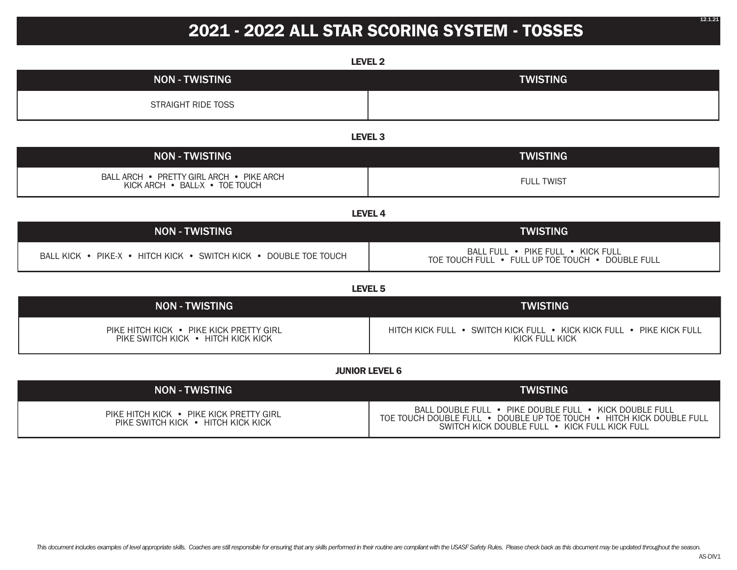## **2021 - 2022 ALL STAR SCORING SYSTEM - TOSSES**

| <b>LEVEL 2</b>                                                                |                                                                                                                                                                                 |  |  |  |  |
|-------------------------------------------------------------------------------|---------------------------------------------------------------------------------------------------------------------------------------------------------------------------------|--|--|--|--|
| <b>NON - TWISTING</b>                                                         | <b>TWISTING</b>                                                                                                                                                                 |  |  |  |  |
| <b>STRAIGHT RIDE TOSS</b>                                                     |                                                                                                                                                                                 |  |  |  |  |
|                                                                               | LEVEL <sub>3</sub>                                                                                                                                                              |  |  |  |  |
| <b>NON - TWISTING</b>                                                         | <b>TWISTING</b>                                                                                                                                                                 |  |  |  |  |
| BALL ARCH • PRETTY GIRL ARCH • PIKE ARCH<br>KICK ARCH . BALL-X . TOE TOUCH    | <b>FULL TWIST</b>                                                                                                                                                               |  |  |  |  |
|                                                                               | <b>LEVEL 4</b>                                                                                                                                                                  |  |  |  |  |
| <b>NON - TWISTING</b>                                                         | <b>TWISTING</b>                                                                                                                                                                 |  |  |  |  |
| BALL KICK • PIKE-X • HITCH KICK • SWITCH KICK • DOUBLE TOE TOUCH              | BALL FULL . PIKE FULL . KICK FULL<br>TOE TOUCH FULL • FULL UP TOE TOUCH • DOUBLE FULL                                                                                           |  |  |  |  |
|                                                                               | LEVEL <sub>5</sub>                                                                                                                                                              |  |  |  |  |
| <b>NON - TWISTING</b>                                                         | <b>TWISTING</b>                                                                                                                                                                 |  |  |  |  |
| PIKE HITCH KICK • PIKE KICK PRETTY GIRL<br>PIKE SWITCH KICK • HITCH KICK KICK | HITCH KICK FULL • SWITCH KICK FULL • KICK KICK FULL • PIKE KICK FULL<br>KICK FULL KICK                                                                                          |  |  |  |  |
|                                                                               | <b>JUNIOR LEVEL 6</b>                                                                                                                                                           |  |  |  |  |
| <b>NON - TWISTING</b>                                                         | <b>TWISTING</b>                                                                                                                                                                 |  |  |  |  |
| PIKE HITCH KICK . PIKE KICK PRETTY GIRL<br>PIKE SWITCH KICK • HITCH KICK KICK | BALL DOUBLE FULL . PIKE DOUBLE FULL . KICK DOUBLE FULL<br>TOE TOUCH DOUBLE FULL . DOUBLE UP TOE TOUCH . HITCH KICK DOUBLE FULL<br>SWITCH KICK DOUBLE FULL . KICK FULL KICK FULL |  |  |  |  |